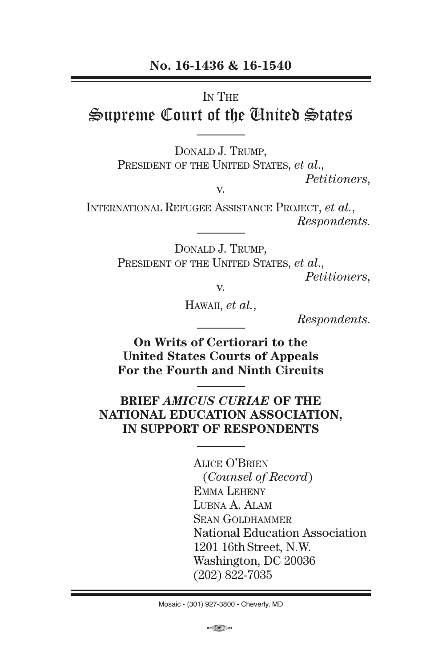#### **No. 16-1436 & 16-1540**

#### IN THE

# Supreme Court of the United States

Donald J. Trump,

PRESIDENT OF THE UNITED STATES, *et al.*,

v.

*Petitioners,*

International Refugee Assistance Project, *et al.*, *Respondents.*

> Donald J. Trump, PRESIDENT OF THE UNITED STATES, *et al.*, *Petitioners,*

v.

Hawaii, *et al.*,

*Respondents.*

**On Writs of Certiorari to the United States Courts of Appeals For the Fourth and Ninth Circuits**

#### **BRIEF** *AMICUS CURIAE* **OF THE NATIONAL EDUCATION ASSOCIATION, IN SUPPORT OF RESPONDENTS**

Alice O'Brien (*Counsel of Record*) Emma Leheny Lubna A. Alam Sean Goldhammer National Education Association 1201 16th Street, N.W. Washington, DC 20036 (202) 822-7035

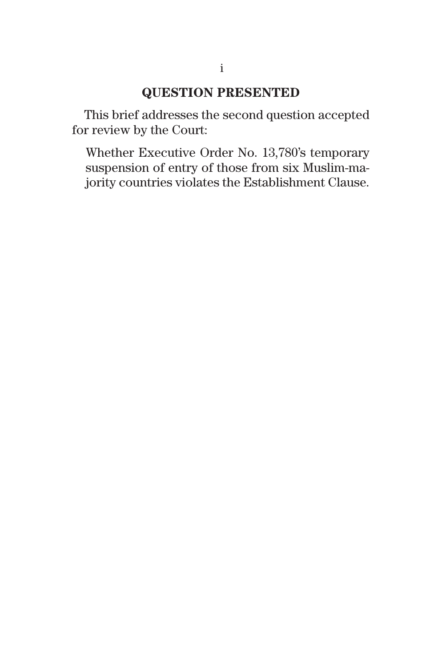## **QUESTION PRESENTED**

This brief addresses the second question accepted for review by the Court:

Whether Executive Order No. 13,780's temporary suspension of entry of those from six Muslim-majority countries violates the Establishment Clause.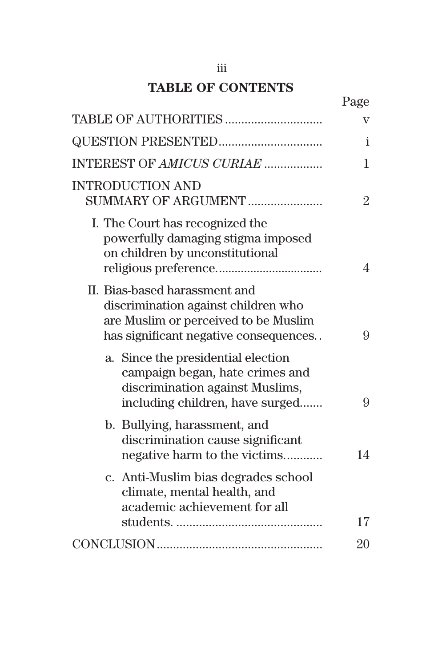## **TABLE OF CONTENTS**

|                                                                                                                                                       | Page           |
|-------------------------------------------------------------------------------------------------------------------------------------------------------|----------------|
|                                                                                                                                                       | v              |
| <b>QUESTION PRESENTED</b>                                                                                                                             | $\mathbf{i}$   |
| INTEREST OF AMICUS CURIAE                                                                                                                             | 1              |
| <b>INTRODUCTION AND</b><br>SUMMARY OF ARGUMENT                                                                                                        | $\overline{2}$ |
| I. The Court has recognized the<br>powerfully damaging stigma imposed<br>on children by unconstitutional                                              | $\overline{4}$ |
| II. Bias-based harassment and<br>discrimination against children who<br>are Muslim or perceived to be Muslim<br>has significant negative consequences | 9              |
| a. Since the presidential election<br>campaign began, hate crimes and<br>discrimination against Muslims,<br>including children, have surged           | 9              |
| b. Bullying, harassment, and<br>discrimination cause significant<br>negative harm to the victims                                                      | 14             |
| c. Anti-Muslim bias degrades school<br>climate, mental health, and<br>academic achievement for all                                                    |                |
|                                                                                                                                                       | 17             |
|                                                                                                                                                       | 20             |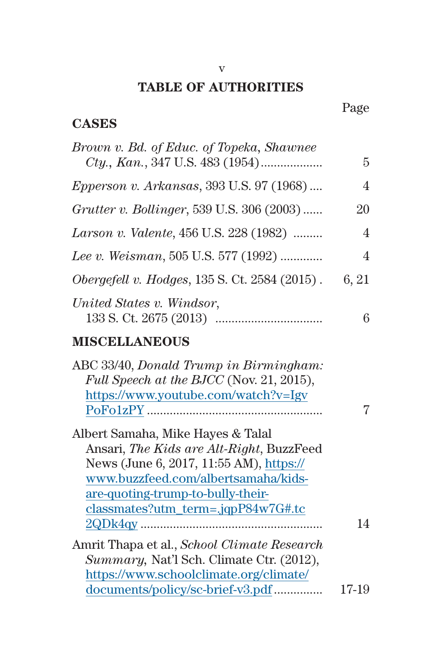## **TABLE OF AUTHORITIES**

## Page

## **CASES**

| Brown v. Bd. of Educ. of Topeka, Shawnee                                                                                                                                                                                                          | 5              |
|---------------------------------------------------------------------------------------------------------------------------------------------------------------------------------------------------------------------------------------------------|----------------|
| <i>Epperson v. Arkansas</i> , 393 U.S. 97 (1968)                                                                                                                                                                                                  | $\overline{4}$ |
| Grutter v. Bollinger, 539 U.S. 306 (2003)                                                                                                                                                                                                         | 20             |
| Larson v. Valente, 456 U.S. 228 (1982)                                                                                                                                                                                                            | $\overline{4}$ |
| Lee v. Weisman, 505 U.S. 577 (1992)                                                                                                                                                                                                               | $\overline{4}$ |
| <i>Obergefell v. Hodges, 135 S. Ct. 2584 (2015).</i>                                                                                                                                                                                              | 6, 21          |
| United States v. Windsor,                                                                                                                                                                                                                         | 6              |
| <b>MISCELLANEOUS</b>                                                                                                                                                                                                                              |                |
| ABC 33/40, Donald Trump in Birmingham:<br>Full Speech at the BJCC (Nov. 21, 2015),<br>https://www.youtube.com/watch?v=Igv                                                                                                                         | 7              |
| Albert Samaha, Mike Hayes & Talal<br>Ansari, The Kids are Alt-Right, BuzzFeed<br>News (June 6, 2017, 11:55 AM), https://<br>www.buzzfeed.com/albertsamaha/kids-<br>are-quoting-trump-to-bully-their-<br>$classmates?$ utm_term=.jqp $P84w7G#$ .tc |                |
|                                                                                                                                                                                                                                                   | 14             |
| Amrit Thapa et al., School Climate Research<br>Summary, Nat'l Sch. Climate Ctr. (2012),                                                                                                                                                           |                |
| https://www.schoolclimate.org/climate/                                                                                                                                                                                                            |                |
| documents/policy/sc-brief-v3.pdf                                                                                                                                                                                                                  | 17-19          |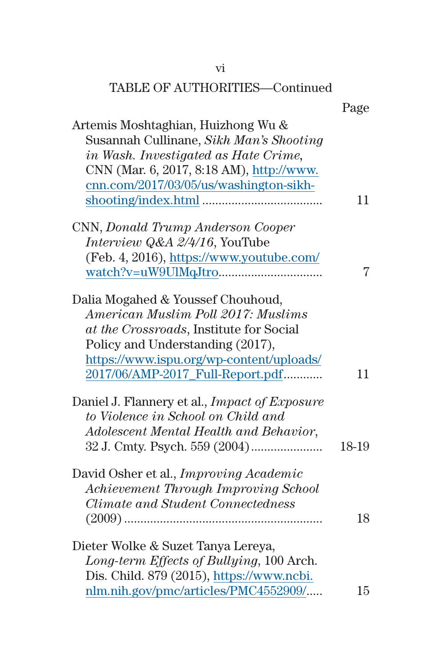| Artemis Moshtaghian, Huizhong Wu &<br>Susannah Cullinane, Sikh Man's Shooting<br>in Wash. Investigated as Hate Crime,<br>CNN (Mar. 6, 2017, 8:18 AM), http://www.<br>cnn.com/2017/03/05/us/washington-sikh-                            | 11    |
|----------------------------------------------------------------------------------------------------------------------------------------------------------------------------------------------------------------------------------------|-------|
| CNN, Donald Trump Anderson Cooper<br>Interview Q&A 2/4/16, YouTube<br>(Feb. 4, 2016), https://www.youtube.com/                                                                                                                         | 7     |
| Dalia Mogahed & Youssef Chouhoud,<br>American Muslim Poll 2017: Muslims<br>at the Crossroads, Institute for Social<br>Policy and Understanding (2017),<br>https://www.ispu.org/wp-content/uploads/<br>2017/06/AMP-2017_Full-Report.pdf | 11    |
| Daniel J. Flannery et al., <i>Impact of Exposure</i><br>to Violence in School on Child and<br>Adolescent Mental Health and Behavior,                                                                                                   | 18-19 |
| David Osher et al., <i>Improving Academic</i><br>Achievement Through Improving School<br><b>Climate and Student Connectedness</b>                                                                                                      | 18    |
| Dieter Wolke & Suzet Tanya Lereya,<br>Long-term Effects of Bullying, 100 Arch.<br>Dis. Child. 879 (2015), https://www.ncbi.<br>nlm.nih.gov/pmc/articles/PMC4552909/                                                                    | 15    |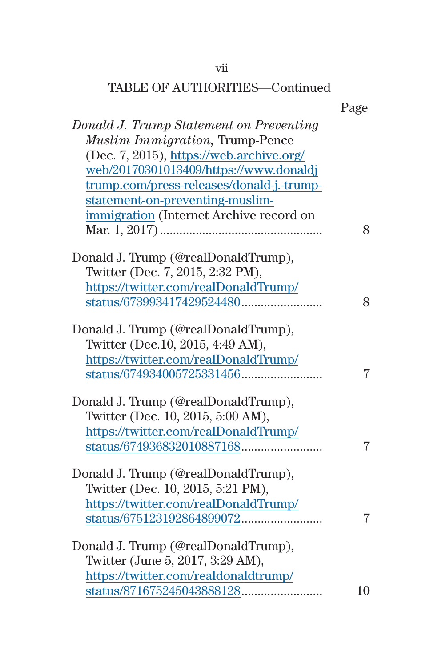## vii

## TABLE OF AUTHORITIES—Continued

Page

| Donald J. Trump Statement on Preventing   |    |
|-------------------------------------------|----|
| <b>Muslim Immigration</b> , Trump-Pence   |    |
| (Dec. 7, 2015), https://web.archive.org/  |    |
| web/20170301013409/https://www.donaldj    |    |
| trump.com/press-releases/donald-j.-trump- |    |
| statement-on-preventing-muslim-           |    |
| immigration (Internet Archive record on   |    |
|                                           | 8  |
| Donald J. Trump (@realDonaldTrump),       |    |
| Twitter (Dec. 7, 2015, 2:32 PM),          |    |
| https://twitter.com/realDonaldTrump/      |    |
|                                           | 8  |
| Donald J. Trump (@realDonaldTrump),       |    |
| Twitter (Dec.10, 2015, 4:49 AM),          |    |
| https://twitter.com/realDonaldTrump/      |    |
|                                           | 7  |
| Donald J. Trump (@realDonaldTrump),       |    |
| Twitter (Dec. 10, 2015, 5:00 AM),         |    |
| https://twitter.com/realDonaldTrump/      |    |
|                                           | 7  |
| Donald J. Trump (@realDonaldTrump),       |    |
| Twitter (Dec. 10, 2015, 5:21 PM),         |    |
| https://twitter.com/realDonaldTrump/      |    |
|                                           | 7  |
| Donald J. Trump (@realDonaldTrump),       |    |
| Twitter (June 5, 2017, 3:29 AM),          |    |
| https://twitter.com/realdonaldtrump/      |    |
|                                           | 10 |
|                                           |    |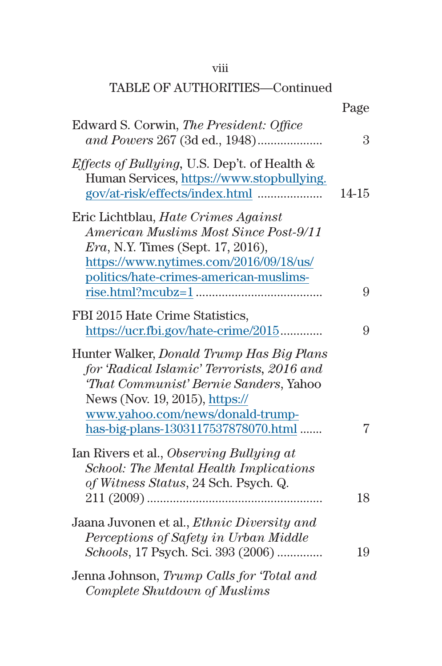## viii

|                                                                                                                                                                                                                                                | Page      |
|------------------------------------------------------------------------------------------------------------------------------------------------------------------------------------------------------------------------------------------------|-----------|
| Edward S. Corwin, The President: Office<br>and Powers 267 (3d ed., 1948)                                                                                                                                                                       | 3         |
| <i>Effects of Bullying</i> , U.S. Dep't. of Health &<br>Human Services, https://www.stopbullying.                                                                                                                                              | $14 - 15$ |
| Eric Lichtblau, Hate Crimes Against<br>American Muslims Most Since Post-9/11<br><i>Era</i> , N.Y. Times (Sept. 17, 2016),<br>https://www.nytimes.com/2016/09/18/us/<br>politics/hate-crimes-american-muslims-                                  | 9         |
| FBI 2015 Hate Crime Statistics,<br>https://ucr.fbi.gov/hate-crime/2015                                                                                                                                                                         | 9         |
| Hunter Walker, Donald Trump Has Big Plans<br>for 'Radical Islamic' Terrorists, 2016 and<br>'That Communist' Bernie Sanders, Yahoo<br>News (Nov. 19, 2015), https://<br>www.yahoo.com/news/donald-trump-<br>has-big-plans-1303117537878070.html | 7         |
| Ian Rivers et al., Observing Bullying at<br><b>School: The Mental Health Implications</b><br>of Witness Status, 24 Sch. Psych. Q.                                                                                                              | 18        |
| Jaana Juvonen et al., <i>Ethnic Diversity and</i><br>Perceptions of Safety in Urban Middle<br>Schools, 17 Psych. Sci. 393 (2006)                                                                                                               | 19        |
| Jenna Johnson, Trump Calls for 'Total and<br>Complete Shutdown of Muslims                                                                                                                                                                      |           |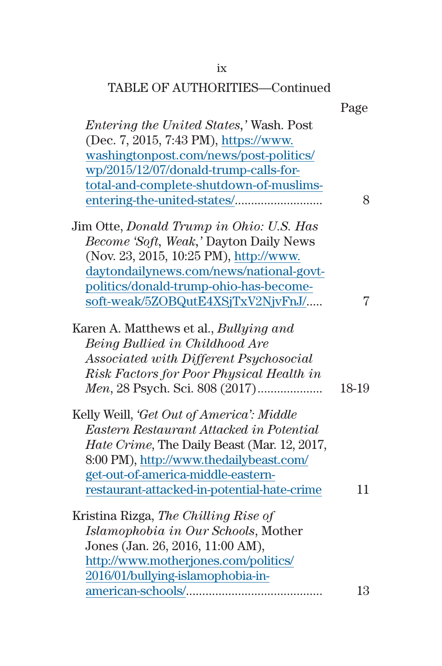## ix

|                                                                                                                                                                                                                                 | Page  |
|---------------------------------------------------------------------------------------------------------------------------------------------------------------------------------------------------------------------------------|-------|
| <i>Entering the United States,' Wash. Post</i><br>(Dec. 7, 2015, 7:43 PM), https://www.<br>washingtonpost.com/news/post-politics/<br>wp/2015/12/07/donald-trump-calls-for-<br>total-and-complete-shutdown-of-muslims-           | 8     |
| Jim Otte, Donald Trump in Ohio: U.S. Has                                                                                                                                                                                        |       |
| Become 'Soft, Weak,' Dayton Daily News<br>(Nov. 23, 2015, 10:25 PM), http://www.<br>daytondailynews.com/news/national-govt-<br>politics/donald-trump-ohio-has-become-<br>soft-weak/5ZOBQutE4XSjTxV2NjvFnJ/                      | 7     |
| Karen A. Matthews et al., <i>Bullying and</i>                                                                                                                                                                                   |       |
| Being Bullied in Childhood Are<br>Associated with Different Psychosocial<br>Risk Factors for Poor Physical Health in                                                                                                            | 18-19 |
| Kelly Weill, 'Get Out of America': Middle                                                                                                                                                                                       |       |
| Eastern Restaurant Attacked in Potential<br><i>Hate Crime</i> , The Daily Beast (Mar. 12, 2017,<br>8:00 PM), http://www.thedailybeast.com/<br>get-out-of-america-middle-eastern-<br>restaurant-attacked-in-potential-hate-crime | 11    |
| Kristina Rizga, <i>The Chilling Rise of</i>                                                                                                                                                                                     |       |
| Islamophobia in Our Schools, Mother                                                                                                                                                                                             |       |
| Jones (Jan. 26, 2016, 11:00 AM),                                                                                                                                                                                                |       |
| http://www.motherjones.com/politics/                                                                                                                                                                                            |       |
| 2016/01/bullying-islamophobia-in-                                                                                                                                                                                               |       |
|                                                                                                                                                                                                                                 | 13    |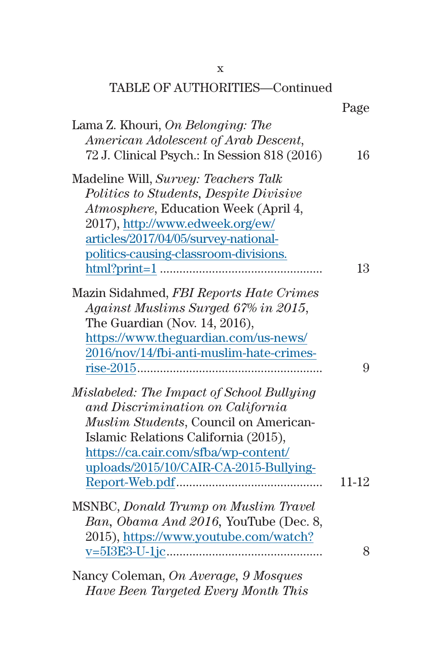| <b>TABLE OF AUTHORITIES-Continued</b>                                                                                                                                                                  |       |
|--------------------------------------------------------------------------------------------------------------------------------------------------------------------------------------------------------|-------|
| Lama Z. Khouri, On Belonging: The                                                                                                                                                                      | Page  |
| American Adolescent of Arab Descent,<br>72 J. Clinical Psych.: In Session 818 (2016)                                                                                                                   | 16    |
| Madeline Will, Survey: Teachers Talk<br>Politics to Students, Despite Divisive<br>Atmosphere, Education Week (April 4,<br>2017), http://www.edweek.org/ew/                                             |       |
| articles/2017/04/05/survey-national-<br>politics-causing-classroom-divisions.                                                                                                                          |       |
|                                                                                                                                                                                                        | 13    |
| Mazin Sidahmed, FBI Reports Hate Crimes<br>Against Muslims Surged 67% in 2015,<br>The Guardian (Nov. $14, 2016$ ),<br>https://www.theguardian.com/us-news/<br>2016/nov/14/fbi-anti-muslim-hate-crimes- | 9     |
| Mislabeled: The Impact of School Bullying<br>and Discrimination on California<br>Muslim Students, Council on American-                                                                                 |       |
| Islamic Relations California (2015),<br>https://ca.cair.com/sfba/wp-content/<br>uploads/2015/10/CAIR-CA-2015-Bullying-                                                                                 | 11-12 |
| <b>MSNBC, Donald Trump on Muslim Travel</b>                                                                                                                                                            |       |
| Ban, Obama And 2016, YouTube (Dec. 8,<br>2015), https://www.youtube.com/watch?                                                                                                                         |       |
|                                                                                                                                                                                                        | 8     |

Nancy Coleman, *On Average, 9 Mosques Have Been Targeted Every Month This* 

x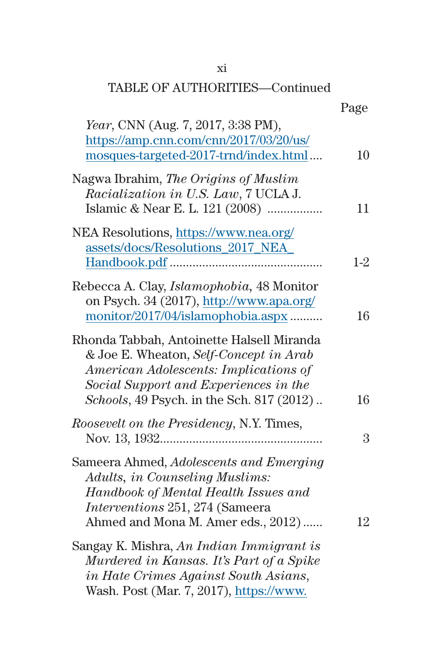#### xi

|                                                                                                                                                                                                                    | Page  |
|--------------------------------------------------------------------------------------------------------------------------------------------------------------------------------------------------------------------|-------|
| <i>Year</i> , CNN (Aug. 7, 2017, 3:38 PM),<br>https://amp.cnn.com/cnn/2017/03/20/us/<br>mosques-targeted-2017-trnd/index.html                                                                                      | 10    |
| Nagwa Ibrahim, The Origins of Muslim<br>Racialization in U.S. Law, 7 UCLA J.<br>Islamic & Near E. L. 121 (2008)                                                                                                    | 11    |
| NEA Resolutions, https://www.nea.org/<br>assets/docs/Resolutions_2017_NEA_                                                                                                                                         | $1-2$ |
| Rebecca A. Clay, <i>Islamophobia</i> , 48 Monitor<br>on Psych. 34 (2017), http://www.apa.org/<br>monitor/2017/04/islamophobia.aspx                                                                                 | 16    |
| Rhonda Tabbah, Antoinette Halsell Miranda<br>& Joe E. Wheaton, Self-Concept in Arab<br>American Adolescents: Implications of<br>Social Support and Experiences in the<br>Schools, 49 Psych. in the Sch. 817 (2012) | 16    |
| Roosevelt on the Presidency, N.Y. Times,                                                                                                                                                                           | 3     |
| Sameera Ahmed, Adolescents and Emerging<br><b>Adults, in Counseling Muslims:</b><br>Handbook of Mental Health Issues and<br><i>Interventions</i> 251, 274 (Sameera<br>Ahmed and Mona M. Amer eds., 2012)           | 12    |
| Sangay K. Mishra, An Indian Immigrant is<br>Murdered in Kansas. It's Part of a Spike<br>in Hate Crimes Against South Asians,<br>Wash. Post (Mar. 7, 2017), https://www.                                            |       |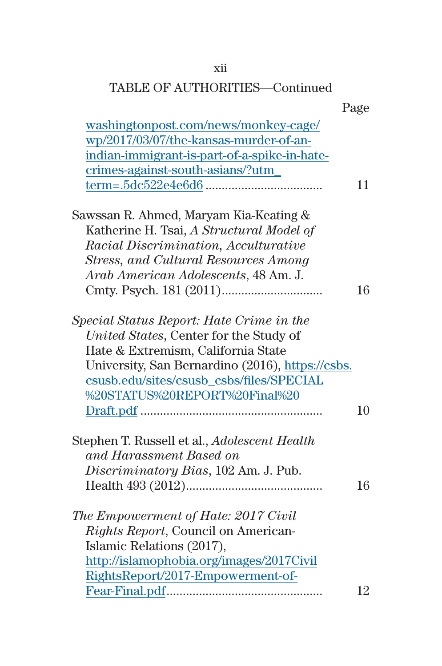## xii

|                                                  | Page |
|--------------------------------------------------|------|
| washingtonpost.com/news/monkey-cage/             |      |
| wp/2017/03/07/the-kansas-murder-of-an-           |      |
| indian-immigrant-is-part-of-a-spike-in-hate-     |      |
| crimes-against-south-asians/?utm_                |      |
|                                                  | 11   |
| Sawssan R. Ahmed, Maryam Kia-Keating &           |      |
| Katherine H. Tsai, A Structural Model of         |      |
| Racial Discrimination, Acculturative             |      |
| Stress, and Cultural Resources Among             |      |
| Arab American Adolescents, 48 Am. J.             |      |
|                                                  | 16   |
| Special Status Report: Hate Crime in the         |      |
| United States, Center for the Study of           |      |
| Hate & Extremism, California State               |      |
| University, San Bernardino (2016), https://csbs. |      |
| csusb.edu/sites/csusb_csbs/files/SPECIAL         |      |
| %20STATUS%20REPORT%20Final%20                    |      |
|                                                  | 10   |
| Stephen T. Russell et al., Adolescent Health     |      |
| and Harassment Based on                          |      |
| Discriminatory Bias, 102 Am. J. Pub.             |      |
|                                                  | 16   |
| The Empowerment of Hate: 2017 Civil              |      |
| Rights Report, Council on American-              |      |
| Islamic Relations (2017),                        |      |
| http://islamophobia.org/images/2017Civil         |      |
| RightsReport/2017-Empowerment-of-                |      |
|                                                  | 12   |
|                                                  |      |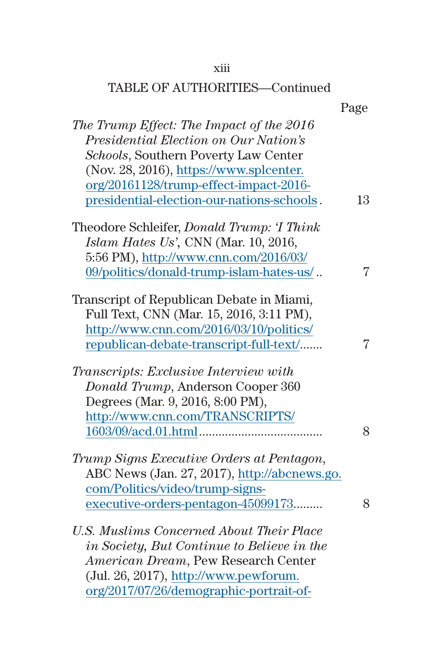## xiii

|                                                   | Page |
|---------------------------------------------------|------|
| The Trump Effect: The Impact of the 2016          |      |
| Presidential Election on Our Nation's             |      |
| Schools, Southern Poverty Law Center              |      |
| (Nov. 28, 2016), https://www.splcenter.           |      |
| org/20161128/trump-effect-impact-2016-            |      |
| presidential-election-our-nations-schools.        | 13   |
| Theodore Schleifer, <i>Donald Trump: 'I Think</i> |      |
| Islam Hates Us', CNN (Mar. 10, 2016,              |      |
| 5:56 PM), http://www.cnn.com/2016/03/             |      |
| 09/politics/donald-trump-islam-hates-us/          | 7    |
| Transcript of Republican Debate in Miami,         |      |
| Full Text, CNN (Mar. 15, 2016, 3:11 PM),          |      |
| http://www.cnn.com/2016/03/10/politics/           |      |
| republican-debate-transcript-full-text/           | 7    |
| Transcripts: Exclusive Interview with             |      |
| Donald Trump, Anderson Cooper 360                 |      |
| Degrees (Mar. 9, 2016, 8:00 PM),                  |      |
| http://www.cnn.com/TRANSCRIPTS/                   |      |
|                                                   | 8    |
| Trump Signs Executive Orders at Pentagon,         |      |
| ABC News (Jan. 27, 2017), http://abcnews.go.      |      |
| com/Politics/video/trump-signs-                   |      |
| executive-orders-pentagon-45099173                | 8    |
| <b>U.S. Muslims Concerned About Their Place</b>   |      |
| in Society, But Continue to Believe in the        |      |
| American Dream, Pew Research Center               |      |
| (Jul. 26, 2017), http://www.pewforum.             |      |
| org/2017/07/26/demographic-portrait-of-           |      |
|                                                   |      |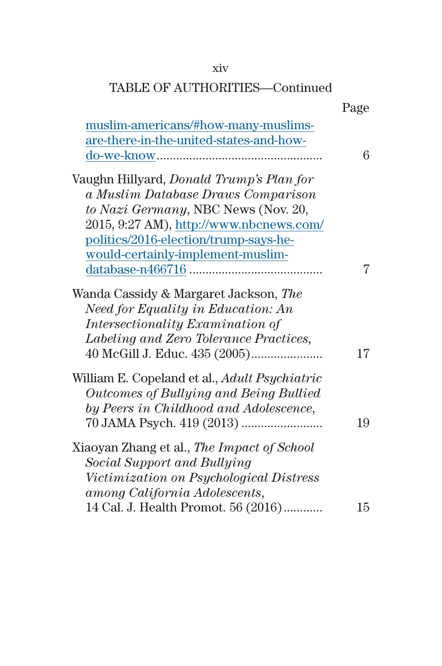### xiv

|                                                                                                                                                                                                                                                       | Page |
|-------------------------------------------------------------------------------------------------------------------------------------------------------------------------------------------------------------------------------------------------------|------|
| muslim-americans/#how-many-muslims-<br>are-there-in-the-united-states-and-how-                                                                                                                                                                        | 6    |
| Vaughn Hillyard, <i>Donald Trump's Plan for</i><br>a Muslim Database Draws Comparison<br>to Nazi Germany, NBC News (Nov. 20,<br>2015, 9:27 AM), http://www.nbcnews.com/<br>politics/2016-election/trump-says-he-<br>would-certainly-implement-muslim- |      |
|                                                                                                                                                                                                                                                       | 7    |
| Wanda Cassidy & Margaret Jackson, The<br>Need for Equality in Education: An<br>Intersectionality Examination of<br>Labeling and Zero Tolerance Practices,                                                                                             | 17   |
| William E. Copeland et al., <i>Adult Psychiatric</i><br>Outcomes of Bullying and Being Bullied<br>by Peers in Childhood and Adolescence,                                                                                                              | 19   |
| Xiaoyan Zhang et al., The Impact of School<br>Social Support and Bullying<br>Victimization on Psychological Distress<br>among California Adolescents,                                                                                                 |      |
| 14 Cal. J. Health Promot. 56 (2016)                                                                                                                                                                                                                   | 15   |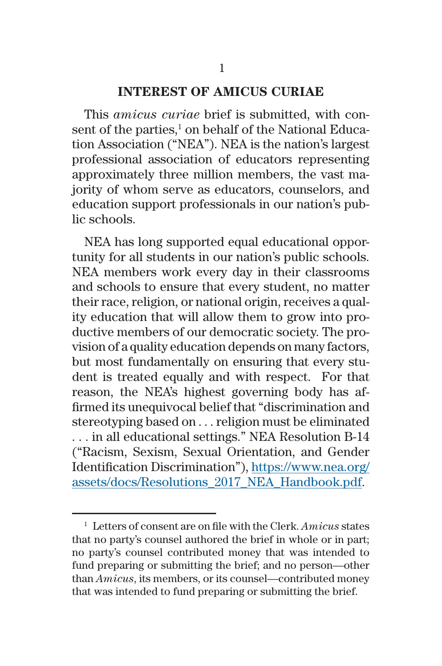#### **INTEREST OF AMICUS CURIAE**

This *amicus curiae* brief is submitted, with consent of the parties,<sup>1</sup> on behalf of the National Education Association ("NEA"). NEA is the nation's largest professional association of educators representing approximately three million members, the vast majority of whom serve as educators, counselors, and education support professionals in our nation's public schools.

NEA has long supported equal educational opportunity for all students in our nation's public schools. NEA members work every day in their classrooms and schools to ensure that every student, no matter their race, religion, or national origin, receives a quality education that will allow them to grow into productive members of our democratic society. The provision of a quality education depends on many factors, but most fundamentally on ensuring that every student is treated equally and with respect. For that reason, the NEA's highest governing body has affirmed its unequivocal belief that "discrimination and stereotyping based on . . . religion must be eliminated . . . in all educational settings." NEA Resolution B-14 ("Racism, Sexism, Sexual Orientation, and Gender Identification Discrimination"), [https://www.nea.org/](https://www.nea.org/assets/docs/Resolutions_2017_NEA_Handbook.pdf) [assets/docs/Resolutions\\_2017\\_NEA\\_Handbook.pdf](https://www.nea.org/assets/docs/Resolutions_2017_NEA_Handbook.pdf).

<sup>1</sup> Letters of consent are on file with the Clerk. *Amicus* states that no party's counsel authored the brief in whole or in part; no party's counsel contributed money that was intended to fund preparing or submitting the brief; and no person—other than *Amicus*, its members, or its counsel—contributed money that was intended to fund preparing or submitting the brief.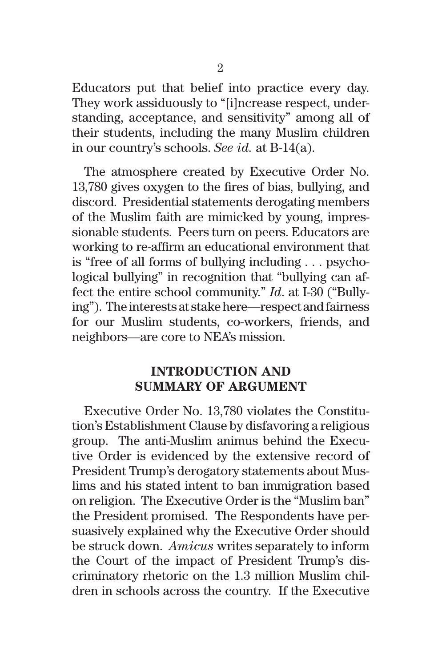Educators put that belief into practice every day. They work assiduously to "[i]ncrease respect, understanding, acceptance, and sensitivity" among all of their students, including the many Muslim children in our country's schools. *See id.* at B-14(a).

The atmosphere created by Executive Order No. 13,780 gives oxygen to the fires of bias, bullying, and discord. Presidential statements derogating members of the Muslim faith are mimicked by young, impressionable students. Peers turn on peers. Educators are working to re-affirm an educational environment that is "free of all forms of bullying including . . . psychological bullying" in recognition that "bullying can affect the entire school community." *Id*. at I-30 ("Bullying"). The interests at stake here—respect and fairness for our Muslim students, co-workers, friends, and neighbors—are core to NEA's mission.

### **INTRODUCTION AND SUMMARY OF ARGUMENT**

Executive Order No. 13,780 violates the Constitution's Establishment Clause by disfavoring a religious group. The anti-Muslim animus behind the Executive Order is evidenced by the extensive record of President Trump's derogatory statements about Muslims and his stated intent to ban immigration based on religion. The Executive Order is the "Muslim ban" the President promised. The Respondents have persuasively explained why the Executive Order should be struck down. *Amicus* writes separately to inform the Court of the impact of President Trump's discriminatory rhetoric on the 1.3 million Muslim children in schools across the country. If the Executive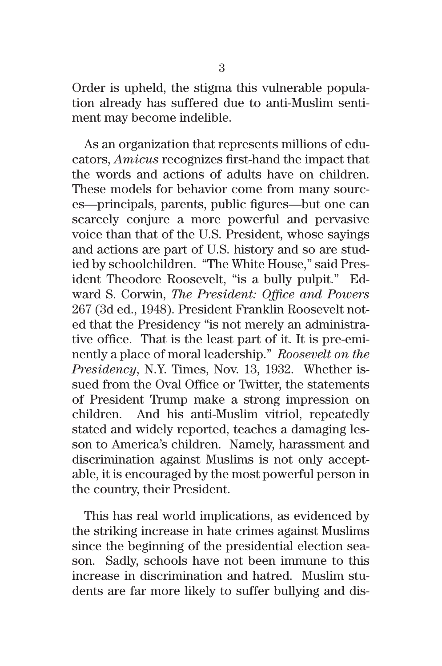Order is upheld, the stigma this vulnerable population already has suffered due to anti-Muslim sentiment may become indelible.

As an organization that represents millions of educators, *Amicus* recognizes first-hand the impact that the words and actions of adults have on children. These models for behavior come from many sources—principals, parents, public figures—but one can scarcely conjure a more powerful and pervasive voice than that of the U.S. President, whose sayings and actions are part of U.S. history and so are studied by schoolchildren. "The White House," said President Theodore Roosevelt, "is a bully pulpit." Edward S. Corwin, *The President: Office and Powers* 267 (3d ed., 1948). President Franklin Roosevelt noted that the Presidency "is not merely an administrative office. That is the least part of it. It is pre-eminently a place of moral leadership." *Roosevelt on the Presidency*, N.Y. Times, Nov. 13, 1932. Whether issued from the Oval Office or Twitter, the statements of President Trump make a strong impression on children. And his anti-Muslim vitriol, repeatedly stated and widely reported, teaches a damaging lesson to America's children. Namely, harassment and discrimination against Muslims is not only acceptable, it is encouraged by the most powerful person in the country, their President.

This has real world implications, as evidenced by the striking increase in hate crimes against Muslims since the beginning of the presidential election season. Sadly, schools have not been immune to this increase in discrimination and hatred. Muslim students are far more likely to suffer bullying and dis-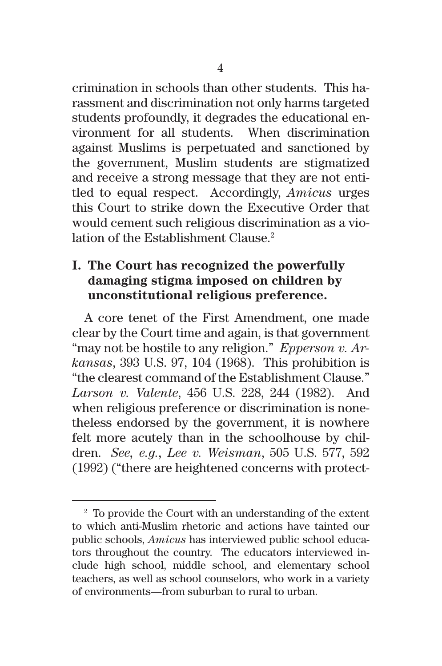crimination in schools than other students. This harassment and discrimination not only harms targeted students profoundly, it degrades the educational environment for all students. When discrimination against Muslims is perpetuated and sanctioned by the government, Muslim students are stigmatized and receive a strong message that they are not entitled to equal respect. Accordingly, *Amicus* urges this Court to strike down the Executive Order that would cement such religious discrimination as a violation of the Establishment Clause.<sup>2</sup>

## **I. The Court has recognized the powerfully damaging stigma imposed on children by unconstitutional religious preference.**

A core tenet of the First Amendment, one made clear by the Court time and again, is that government "may not be hostile to any religion." *Epperson v. Arkansas*, 393 U.S. 97, 104 (1968). This prohibition is "the clearest command of the Establishment Clause." *Larson v. Valente*, 456 U.S. 228, 244 (1982). And when religious preference or discrimination is nonetheless endorsed by the government, it is nowhere felt more acutely than in the schoolhouse by children. *See, e.g., Lee v. Weisman*, 505 U.S. 577, 592 (1992) ("there are heightened concerns with protect-

<sup>2</sup> To provide the Court with an understanding of the extent to which anti-Muslim rhetoric and actions have tainted our public schools, *Amicus* has interviewed public school educators throughout the country. The educators interviewed include high school, middle school, and elementary school teachers, as well as school counselors, who work in a variety of environments—from suburban to rural to urban.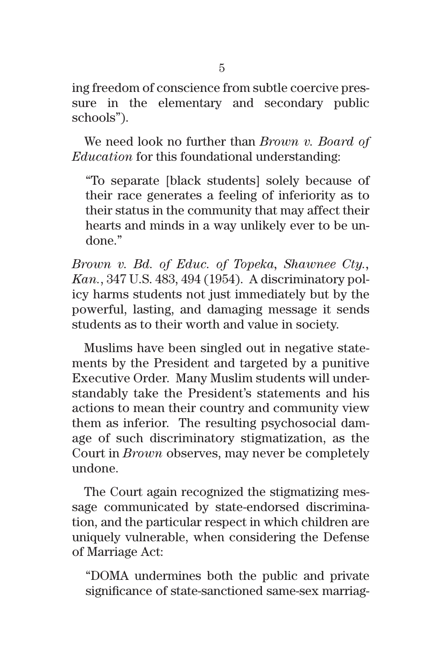ing freedom of conscience from subtle coercive pressure in the elementary and secondary public schools").

We need look no further than *Brown v. Board of Education* for this foundational understanding:

"To separate [black students] solely because of their race generates a feeling of inferiority as to their status in the community that may affect their hearts and minds in a way unlikely ever to be undone."

*Brown v. Bd. of Educ. of Topeka, Shawnee Cty., Kan.*, 347 U.S. 483, 494 (1954). A discriminatory policy harms students not just immediately but by the powerful, lasting, and damaging message it sends students as to their worth and value in society.

Muslims have been singled out in negative statements by the President and targeted by a punitive Executive Order. Many Muslim students will understandably take the President's statements and his actions to mean their country and community view them as inferior. The resulting psychosocial damage of such discriminatory stigmatization, as the Court in *Brown* observes, may never be completely undone.

The Court again recognized the stigmatizing message communicated by state-endorsed discrimination, and the particular respect in which children are uniquely vulnerable, when considering the Defense of Marriage Act:

"DOMA undermines both the public and private significance of state-sanctioned same-sex marriag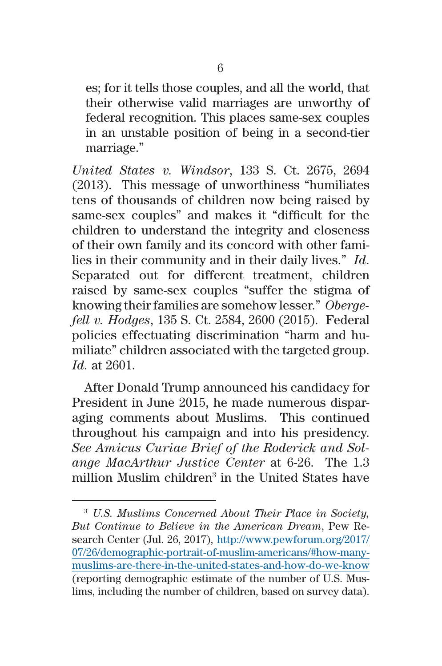es; for it tells those couples, and all the world, that their otherwise valid marriages are unworthy of federal recognition. This places same-sex couples in an unstable position of being in a second-tier marriage."

*United States v. Windsor*, 133 S. Ct. 2675, 2694 (2013). This message of unworthiness "humiliates tens of thousands of children now being raised by same-sex couples" and makes it "difficult for the children to understand the integrity and closeness of their own family and its concord with other families in their community and in their daily lives." *Id*. Separated out for different treatment, children raised by same-sex couples "suffer the stigma of knowing their families are somehow lesser." *Obergefell v. Hodges*, 135 S. Ct. 2584, 2600 (2015). Federal policies effectuating discrimination "harm and humiliate" children associated with the targeted group. *Id.* at 2601.

After Donald Trump announced his candidacy for President in June 2015, he made numerous disparaging comments about Muslims. This continued throughout his campaign and into his presidency. *See Amicus Curiae Brief of the Roderick and Solange MacArthur Justice Center* at 6-26. The 1.3 million Muslim children<sup>3</sup> in the United States have

<sup>3</sup> *U.S. Muslims Concerned About Their Place in Society, But Continue to Believe in the American Dream*, Pew Research Center (Jul. 26, 2017), [http://www.pewforum.org/2017/](http://www.pewforum.org/2017/07/26/demographic-portrait-of-muslim-americans/#how-many-muslims-are-there-in-the-united-states-and-how-do-we-know) [07/26/demographic-portrait-of-muslim-americans/#how-many](http://www.pewforum.org/2017/07/26/demographic-portrait-of-muslim-americans/#how-many-muslims-are-there-in-the-united-states-and-how-do-we-know)[muslims-are-there-in-the-united-states-and-how-do-we-know](http://www.pewforum.org/2017/07/26/demographic-portrait-of-muslim-americans/#how-many-muslims-are-there-in-the-united-states-and-how-do-we-know) (reporting demographic estimate of the number of U.S. Muslims, including the number of children, based on survey data).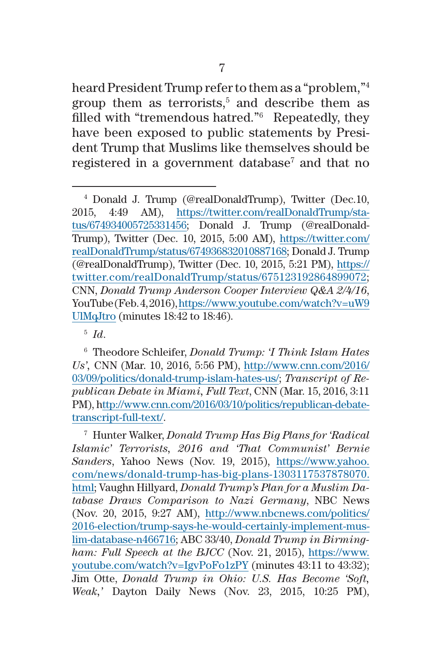heard President Trump refer to them as a "problem,"4 group them as terrorists, $5$  and describe them as filled with "tremendous hatred."6 Repeatedly, they have been exposed to public statements by President Trump that Muslims like themselves should be registered in a government database<sup>7</sup> and that no

<sup>5</sup> *Id*.

<sup>7</sup> Hunter Walker, *Donald Trump Has Big Plans for 'Radical Islamic' Terrorists, 2016 and 'That Communist' Bernie Sanders*, Yahoo News (Nov. 19, 2015), [https://www.yahoo.](https://www.yahoo.com/news/donald-trump-has-big-plans-1303117537878070.html) [com/news/donald-trump-has-big-plans-1303117537878070.](https://www.yahoo.com/news/donald-trump-has-big-plans-1303117537878070.html) [html;](https://www.yahoo.com/news/donald-trump-has-big-plans-1303117537878070.html) Vaughn Hillyard, *Donald Trump's Plan for a Muslim Database Draws Comparison to Nazi Germany*, NBC News (Nov. 20, 2015, 9:27 AM), [http://www.nbcnews.com/politics/](http://www.nbcnews.com/politics/2016-election/trump-says-he-would-certainly-implement-muslim-database-n466716) [2016-election/trump-says-he-would-certainly-implement-mus](http://www.nbcnews.com/politics/2016-election/trump-says-he-would-certainly-implement-muslim-database-n466716)[lim-database-n466716](http://www.nbcnews.com/politics/2016-election/trump-says-he-would-certainly-implement-muslim-database-n466716); ABC 33/40, *Donald Trump in Birmingham: Full Speech at the BJCC* (Nov. 21, 2015), [https://www.](https://www.youtube.com/watch?v=IgvPoFo1zPY) [youtube.com/watch?v=IgvPoFo1zPY](https://www.youtube.com/watch?v=IgvPoFo1zPY) (minutes 43:11 to 43:32); Jim Otte, *Donald Trump in Ohio: U.S. Has Become 'Soft, Weak,'* Dayton Daily News (Nov. 23, 2015, 10:25 PM),

<sup>4</sup> Donald J. Trump (@realDonaldTrump), Twitter (Dec.10, 2015, 4:49 AM), [https://twitter.com/realDonaldTrump/sta](https://twitter.com/realDonaldTrump/status/674934005725331456)[tus/674934005725331456](https://twitter.com/realDonaldTrump/status/674934005725331456); Donald J. Trump (@realDonald-Trump), Twitter (Dec. 10, 2015, 5:00 AM), [https://twitter.com/](https://twitter.com/realDonaldTrump/status/674936832010887168) [realDonaldTrump/status/674936832010887168](https://twitter.com/realDonaldTrump/status/674936832010887168); Donald J. Trump (@realDonaldTrump), Twitter (Dec. 10, 2015, 5:21 PM), [https://](https://twitter.com/realDonaldTrump/status/675123192864899072) [twitter.com/realDonaldTrump/status/675123192864899072](https://twitter.com/realDonaldTrump/status/675123192864899072); CNN, *Donald Trump Anderson Cooper Interview Q&A 2/4/16*, YouTube (Feb. 4, 2016), [https://www.youtube.com/watch?v=uW9](https://www.youtube.com/watch?v=uW9UlMqJtro) [UlMqJtro](https://www.youtube.com/watch?v=uW9UlMqJtro) (minutes 18:42 to 18:46).

<sup>6</sup> Theodore Schleifer, *Donald Trump: 'I Think Islam Hates Us',* CNN (Mar. 10, 2016, 5:56 PM), [http://www.cnn.com/2016/](http://www.cnn.com/2016/03/09/politics/donald-trump-islam-hates-us/) [03/09/politics/donald-trump-islam-hates-us/;](http://www.cnn.com/2016/03/09/politics/donald-trump-islam-hates-us/) *Transcript of Republican Debate in Miami, Full Text*, CNN (Mar. 15, 2016, 3:11 PM), [http://www.cnn.com/2016/03/10/politics/republican-debate](http://www.cnn.com/2016/03/10/politics/republican-debate-transcript-full-text/)[transcript-full-text/](http://www.cnn.com/2016/03/10/politics/republican-debate-transcript-full-text/).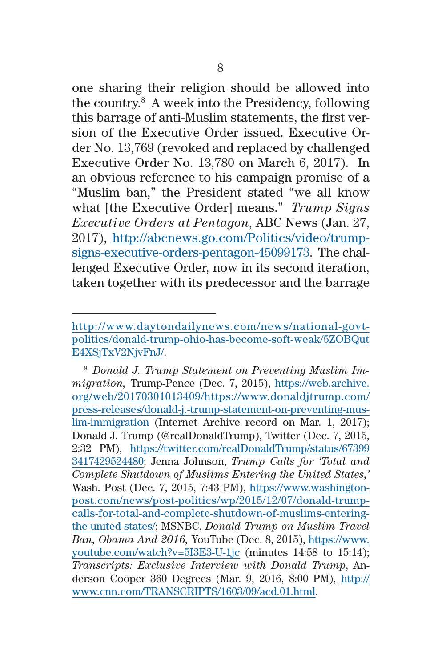one sharing their religion should be allowed into the country.8 A week into the Presidency, following this barrage of anti-Muslim statements, the first version of the Executive Order issued. Executive Order No. 13,769 (revoked and replaced by challenged Executive Order No. 13,780 on March 6, 2017). In an obvious reference to his campaign promise of a "Muslim ban," the President stated "we all know what [the Executive Order] means." *Trump Signs Executive Orders at Pentagon*, ABC News (Jan. 27, 2017), [http://abcnews.go.com/Politics/video/trump](http://abcnews.go.com/Politics/video/trump-signs-executive-orders-pentagon-45099173)[signs-executive-orders-pentagon-45099173](http://abcnews.go.com/Politics/video/trump-signs-executive-orders-pentagon-45099173). The challenged Executive Order, now in its second iteration, taken together with its predecessor and the barrage

[http://www.daytondailynews.com/news/national-govt](http://www.daytondailynews.com/news/national-govt-politics/donald-trump-ohio-has-become-soft-weak/5ZOBQutE4XSjTxV2NjvFnJ/)[politics/donald-trump-ohio-has-become-soft-weak/5ZOBQut](http://www.daytondailynews.com/news/national-govt-politics/donald-trump-ohio-has-become-soft-weak/5ZOBQutE4XSjTxV2NjvFnJ/) [E4XSjTxV2NjvFnJ/.](http://www.daytondailynews.com/news/national-govt-politics/donald-trump-ohio-has-become-soft-weak/5ZOBQutE4XSjTxV2NjvFnJ/)

<sup>8</sup> *Donald J. Trump Statement on Preventing Muslim Immigration,* Trump-Pence (Dec. 7, 2015), [https://web.archive.](https://web.archive.org/web/20170301013409/https://www.donaldjtrump.com/press-releases/donald-j.-trump-statement-on-preventing-muslim-immigration) [org/web/20170301013409/https://www.donaldjtrump.com/](https://web.archive.org/web/20170301013409/https://www.donaldjtrump.com/press-releases/donald-j.-trump-statement-on-preventing-muslim-immigration) [press-releases/donald-j.-trump-statement-on-preventing-mus](https://web.archive.org/web/20170301013409/https://www.donaldjtrump.com/press-releases/donald-j.-trump-statement-on-preventing-muslim-immigration)[lim-immigration](https://web.archive.org/web/20170301013409/https://www.donaldjtrump.com/press-releases/donald-j.-trump-statement-on-preventing-muslim-immigration) (Internet Archive record on Mar. 1, 2017); Donald J. Trump (@realDonaldTrump), Twitter (Dec. 7, 2015, 2:32 PM), [https://twitter.com/realDonaldTrump/status/67399](https://twitter.com/realDonaldTrump/status/673993417429524480) [3417429524480;](https://twitter.com/realDonaldTrump/status/673993417429524480) Jenna Johnson, *Trump Calls for 'Total and Complete Shutdown of Muslims Entering the United States,'*  Wash. Post (Dec. 7, 2015, 7:43 PM), [https://www.washington](https://www.washingtonpost.com/news/post-politics/wp/2015/12/07/donald-trump-calls-for-total-and-complete-shutdown-of-muslims-entering-the-united-states/)[post.com/news/post-politics/wp/2015/12/07/donald-trump](https://www.washingtonpost.com/news/post-politics/wp/2015/12/07/donald-trump-calls-for-total-and-complete-shutdown-of-muslims-entering-the-united-states/)[calls-for-total-and-complete-shutdown-of-muslims-entering](https://www.washingtonpost.com/news/post-politics/wp/2015/12/07/donald-trump-calls-for-total-and-complete-shutdown-of-muslims-entering-the-united-states/)[the-united-states/](https://www.washingtonpost.com/news/post-politics/wp/2015/12/07/donald-trump-calls-for-total-and-complete-shutdown-of-muslims-entering-the-united-states/); MSNBC, *Donald Trump on Muslim Travel Ban, Obama And 2016,* YouTube (Dec. 8, 2015), [https://www.](https://www.youtube.com/watch?v=5I3E3-U-1jc) [youtube.com/watch?v=5I3E3-U-1jc](https://www.youtube.com/watch?v=5I3E3-U-1jc) (minutes 14:58 to 15:14); *Transcripts: Exclusive Interview with Donald Trump*, Anderson Cooper 360 Degrees (Mar. 9, 2016, 8:00 PM), [http://](http://www.cnn.com/TRANSCRIPTS/1603/09/acd.01.html) [www.cnn.com/TRANSCRIPTS/1603/09/acd.01.html](http://www.cnn.com/TRANSCRIPTS/1603/09/acd.01.html).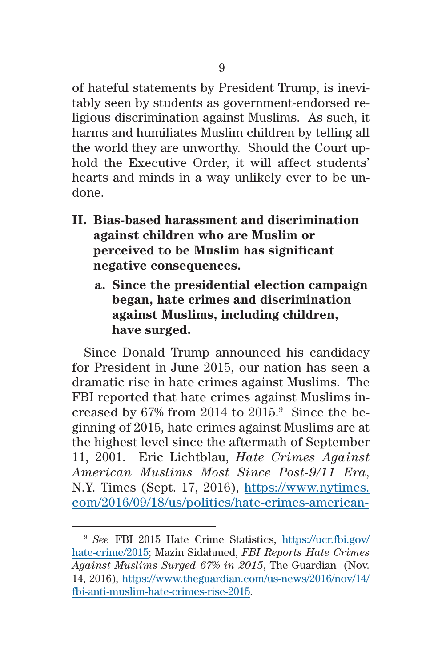of hateful statements by President Trump, is inevitably seen by students as government-endorsed religious discrimination against Muslims. As such, it harms and humiliates Muslim children by telling all the world they are unworthy. Should the Court uphold the Executive Order, it will affect students' hearts and minds in a way unlikely ever to be undone.

- **II. Bias-based harassment and discrimination against children who are Muslim or perceived to be Muslim has significant negative consequences.**
	- **a. Since the presidential election campaign began, hate crimes and discrimination against Muslims, including children, have surged.**

Since Donald Trump announced his candidacy for President in June 2015, our nation has seen a dramatic rise in hate crimes against Muslims. The FBI reported that hate crimes against Muslims increased by 67% from 2014 to  $2015$ .<sup>9</sup> Since the beginning of 2015, hate crimes against Muslims are at the highest level since the aftermath of September 11, 2001. Eric Lichtblau, *Hate Crimes Against American Muslims Most Since Post-9/11 Era*, N.Y. Times (Sept. 17, 2016), [https://www.nytimes.](https://www.nytimes.com/2016/09/18/us/politics/hate-crimes-american-muslims-rise.html?mcubz=1) [com/2016/09/18/us/politics/hate-crimes-american-](https://www.nytimes.com/2016/09/18/us/politics/hate-crimes-american-muslims-rise.html?mcubz=1)

<sup>9</sup> *See* FBI 2015 Hate Crime Statistics, [https://ucr.fbi.gov/](https://ucr.fbi.gov/hate-crime/2015) [hate-crime/2015](https://ucr.fbi.gov/hate-crime/2015); Mazin Sidahmed, *FBI Reports Hate Crimes Against Muslims Surged 67% in 2015*, The Guardian (Nov. 14, 2016), [https://www.theguardian.com/us-news/2016/nov/14/](https://www.theguardian.com/us-news/2016/nov/14/fbi-anti-muslim-hate-crimes-rise-2015) [fbi-anti-muslim-hate-crimes-rise-2015.](https://www.theguardian.com/us-news/2016/nov/14/fbi-anti-muslim-hate-crimes-rise-2015)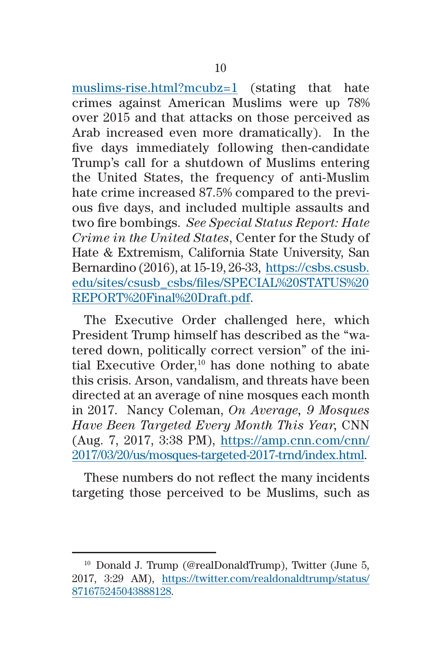[muslims-rise.html?mcubz=1](https://www.nytimes.com/2016/09/18/us/politics/hate-crimes-american-muslims-rise.html?mcubz=1) (stating that hate crimes against American Muslims were up 78% over 2015 and that attacks on those perceived as Arab increased even more dramatically). In the five days immediately following then-candidate Trump's call for a shutdown of Muslims entering the United States, the frequency of anti-Muslim hate crime increased 87.5% compared to the previous five days, and included multiple assaults and two fire bombings. *See Special Status Report: Hate Crime in the United States*, Center for the Study of Hate & Extremism, California State University, San Bernardino (2016), at 15-19, 26-33, [https://csbs.csusb.](https://csbs.csusb.edu/sites/csusb_csbs/files/SPECIAL%20STATUS%20REPORT%20Final%20Draft.pdf) [edu/sites/csusb\\_csbs/files/SPECIAL%20STATUS%20](https://csbs.csusb.edu/sites/csusb_csbs/files/SPECIAL%20STATUS%20REPORT%20Final%20Draft.pdf) [REPORT%20Final%20Draft.pdf.](https://csbs.csusb.edu/sites/csusb_csbs/files/SPECIAL%20STATUS%20REPORT%20Final%20Draft.pdf)

The Executive Order challenged here, which President Trump himself has described as the "watered down, politically correct version" of the initial Executive Order, $10$  has done nothing to abate this crisis. Arson, vandalism, and threats have been directed at an average of nine mosques each month in 2017. Nancy Coleman, *On Average, 9 Mosques Have Been Targeted Every Month This Year,* CNN (Aug. 7, 2017, 3:38 PM), [https://amp.cnn.com/cnn/](https://amp.cnn.com/cnn/2017/03/20/us/mosques-targeted-2017-trnd/index.html) [2017/03/20/us/mosques-targeted-2017-trnd/index.html.](https://amp.cnn.com/cnn/2017/03/20/us/mosques-targeted-2017-trnd/index.html)

These numbers do not reflect the many incidents targeting those perceived to be Muslims, such as

<sup>10</sup> Donald J. Trump (@realDonaldTrump), Twitter (June 5, 2017, 3:29 AM), [https://twitter.com/realdonaldtrump/status/](https://twitter.com/realdonaldtrump/status/871675245043888128) [871675245043888128](https://twitter.com/realdonaldtrump/status/871675245043888128).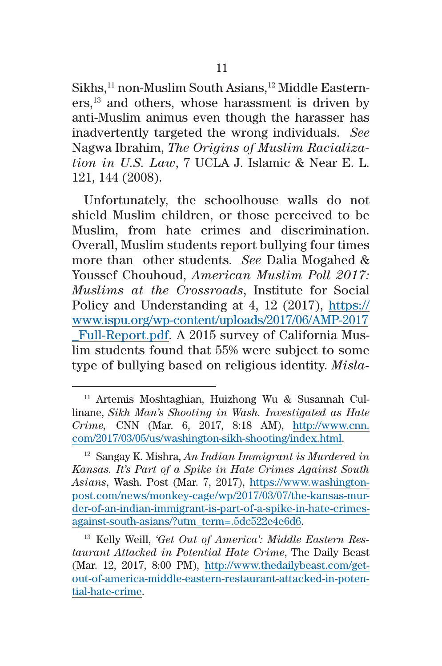Sikhs,<sup>11</sup> non-Muslim South Asians,<sup>12</sup> Middle Eastern $ers$ ,<sup>13</sup> and others, whose harassment is driven by anti-Muslim animus even though the harasser has inadvertently targeted the wrong individuals. *See*  Nagwa Ibrahim, *The Origins of Muslim Racialization in U.S. Law*, 7 UCLA J. Islamic & Near E. L. 121, 144 (2008).

Unfortunately, the schoolhouse walls do not shield Muslim children, or those perceived to be Muslim, from hate crimes and discrimination. Overall, Muslim students report bullying four times more than other students. *See* Dalia Mogahed & Youssef Chouhoud, *American Muslim Poll 2017: Muslims at the Crossroads*, Institute for Social Policy and Understanding at 4, 12 (2017), [https://](https://www.ispu.org/wp-content/uploads/2017/06/AMP-2017_Full-Report.pdf) [www.ispu.org/wp-content/uploads/2017/06/AMP-2017](https://www.ispu.org/wp-content/uploads/2017/06/AMP-2017_Full-Report.pdf) [\\_Full-Report.pdf.](https://www.ispu.org/wp-content/uploads/2017/06/AMP-2017_Full-Report.pdf) A 2015 survey of California Muslim students found that 55% were subject to some type of bullying based on religious identity. *Misla-*

<sup>11</sup> Artemis Moshtaghian, Huizhong Wu & Susannah Cullinane, *Sikh Man's Shooting in Wash. Investigated as Hate Crime,* CNN (Mar. 6, 2017, 8:18 AM), [http://www.cnn.](http://www.cnn.com/2017/03/05/us/washington-sikh-shooting/index.html) [com/2017/03/05/us/washington-sikh-shooting/index.html](http://www.cnn.com/2017/03/05/us/washington-sikh-shooting/index.html).

<sup>12</sup> Sangay K. Mishra, *An Indian Immigrant is Murdered in Kansas. It's Part of a Spike in Hate Crimes Against South Asians*, Wash. Post (Mar. 7, 2017), [https://www.washington](https://www.washingtonpost.com/news/monkey-cage/wp/2017/03/07/the-kansas-murder-of-an-indian-immigrant-is-part-of-a-spike-in-hate-crimes-against-south-asians/?utm_term=.5dc522e4e6d6)[post.com/news/monkey-cage/wp/2017/03/07/the-kansas-mur](https://www.washingtonpost.com/news/monkey-cage/wp/2017/03/07/the-kansas-murder-of-an-indian-immigrant-is-part-of-a-spike-in-hate-crimes-against-south-asians/?utm_term=.5dc522e4e6d6)[der-of-an-indian-immigrant-is-part-of-a-spike-in-hate-crimes](https://www.washingtonpost.com/news/monkey-cage/wp/2017/03/07/the-kansas-murder-of-an-indian-immigrant-is-part-of-a-spike-in-hate-crimes-against-south-asians/?utm_term=.5dc522e4e6d6)[against-south-asians/?utm\\_term=.5dc522e4e6d6.](https://www.washingtonpost.com/news/monkey-cage/wp/2017/03/07/the-kansas-murder-of-an-indian-immigrant-is-part-of-a-spike-in-hate-crimes-against-south-asians/?utm_term=.5dc522e4e6d6)

<sup>13</sup> Kelly Weill, *'Get Out of America': Middle Eastern Restaurant Attacked in Potential Hate Crime*, The Daily Beast (Mar. 12, 2017, 8:00 PM), [http://www.thedailybeast.com/get](http://www.thedailybeast.com/get-out-of-america-middle-eastern-restaurant-attacked-in-potential-hate-crime)[out-of-america-middle-eastern-restaurant-attacked-in-poten](http://www.thedailybeast.com/get-out-of-america-middle-eastern-restaurant-attacked-in-potential-hate-crime)[tial-hate-crime.](http://www.thedailybeast.com/get-out-of-america-middle-eastern-restaurant-attacked-in-potential-hate-crime)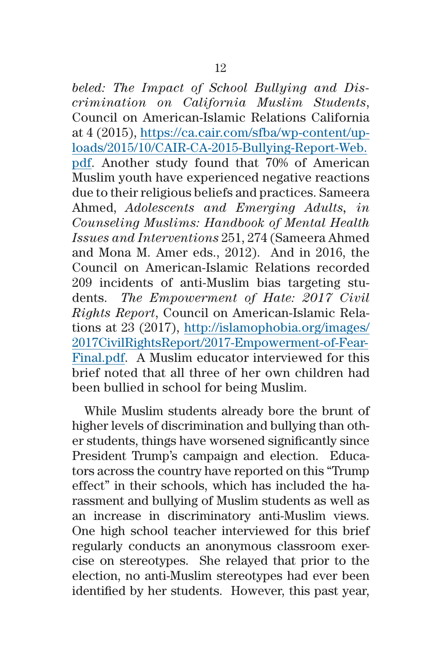*beled: The Impact of School Bullying and Discrimination on California Muslim Students*, Council on American-Islamic Relations California at 4 (2015), [https://ca.cair.com/sfba/wp-content/up](https://ca.cair.com/sfba/wp-content/uploads/2015/10/CAIR-CA-2015-Bullying-Report-Web.pdf)[loads/2015/10/CAIR-CA-2015-Bullying-Report-Web.](https://ca.cair.com/sfba/wp-content/uploads/2015/10/CAIR-CA-2015-Bullying-Report-Web.pdf) [pdf](https://ca.cair.com/sfba/wp-content/uploads/2015/10/CAIR-CA-2015-Bullying-Report-Web.pdf). Another study found that 70% of American Muslim youth have experienced negative reactions due to their religious beliefs and practices. Sameera Ahmed, *Adolescents and Emerging Adults, in Counseling Muslims: Handbook of Mental Health Issues and Interventions* 251, 274 (Sameera Ahmed and Mona M. Amer eds., 2012). And in 2016, the Council on American-Islamic Relations recorded 209 incidents of anti-Muslim bias targeting students. *The Empowerment of Hate: 2017 Civil Rights Report*, Council on American-Islamic Relations at 23 (2017), [http://islamophobia.org/images/](http://islamophobia.org/images/2017CivilRightsReport/2017-Empowerment-of-Fear-Final.pdf) [2017CivilRightsReport/2017-Empowerment-of-Fear-](http://islamophobia.org/images/2017CivilRightsReport/2017-Empowerment-of-Fear-Final.pdf)[Final.pdf.](http://islamophobia.org/images/2017CivilRightsReport/2017-Empowerment-of-Fear-Final.pdf) A Muslim educator interviewed for this brief noted that all three of her own children had been bullied in school for being Muslim.

While Muslim students already bore the brunt of higher levels of discrimination and bullying than other students, things have worsened significantly since President Trump's campaign and election. Educators across the country have reported on this "Trump effect" in their schools, which has included the harassment and bullying of Muslim students as well as an increase in discriminatory anti-Muslim views. One high school teacher interviewed for this brief regularly conducts an anonymous classroom exercise on stereotypes. She relayed that prior to the election, no anti-Muslim stereotypes had ever been identified by her students. However, this past year,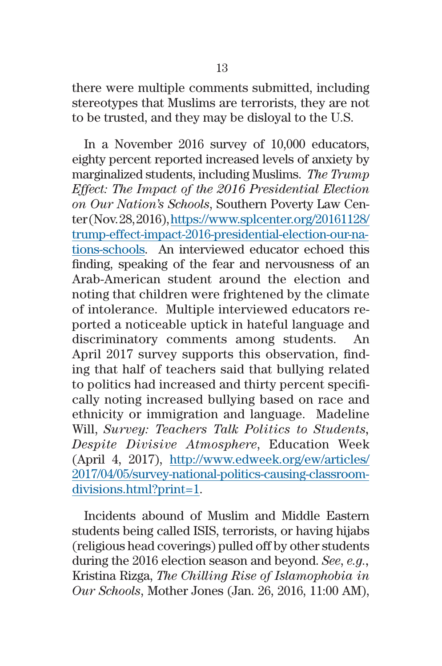there were multiple comments submitted, including stereotypes that Muslims are terrorists, they are not to be trusted, and they may be disloyal to the U.S.

In a November 2016 survey of 10,000 educators, eighty percent reported increased levels of anxiety by marginalized students, including Muslims. *The Trump Effect: The Impact of the 2016 Presidential Election on Our Nation's Schools*, Southern Poverty Law Center (Nov. 28, 2016), [https://www.splcenter.org/20161128/](https://www.splcenter.org/20161128/trump-effect-impact-2016-presidential-election-our-nations-schools) [trump-effect-impact-2016-presidential-election-our-na](https://www.splcenter.org/20161128/trump-effect-impact-2016-presidential-election-our-nations-schools)[tions-schools.](https://www.splcenter.org/20161128/trump-effect-impact-2016-presidential-election-our-nations-schools) An interviewed educator echoed this finding, speaking of the fear and nervousness of an Arab-American student around the election and noting that children were frightened by the climate of intolerance. Multiple interviewed educators reported a noticeable uptick in hateful language and discriminatory comments among students. An April 2017 survey supports this observation, finding that half of teachers said that bullying related to politics had increased and thirty percent specifically noting increased bullying based on race and ethnicity or immigration and language. Madeline Will, *Survey: Teachers Talk Politics to Students, Despite Divisive Atmosphere*, Education Week (April 4, 2017), [http://www.edweek.org/ew/articles/](http://www.edweek.org/ew/articles/2017/04/05/survey-national-politics-causing-classroom-divisions.html?print=1) [2017/04/05/survey-national-politics-causing-classroom](http://www.edweek.org/ew/articles/2017/04/05/survey-national-politics-causing-classroom-divisions.html?print=1)[divisions.html?print=1](http://www.edweek.org/ew/articles/2017/04/05/survey-national-politics-causing-classroom-divisions.html?print=1).

Incidents abound of Muslim and Middle Eastern students being called ISIS, terrorists, or having hijabs (religious head coverings) pulled off by other students during the 2016 election season and beyond. *See*, *e.g.,* Kristina Rizga, *The Chilling Rise of Islamophobia in Our Schools*, Mother Jones (Jan. 26, 2016, 11:00 AM),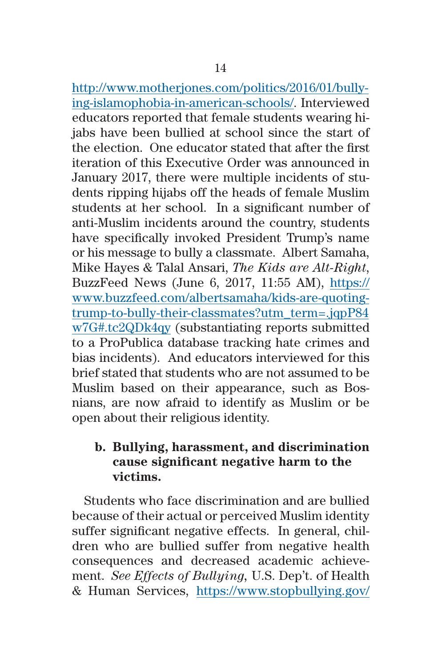[http://www.motherjones.com/politics/2016/01/bully](http://www.motherjones.com/politics/2016/01/bullying-islamophobia-in-american-schools/)[ing-islamophobia-in-american-schools/](http://www.motherjones.com/politics/2016/01/bullying-islamophobia-in-american-schools/). Interviewed educators reported that female students wearing hijabs have been bullied at school since the start of the election. One educator stated that after the first iteration of this Executive Order was announced in January 2017, there were multiple incidents of students ripping hijabs off the heads of female Muslim students at her school. In a significant number of anti-Muslim incidents around the country, students have specifically invoked President Trump's name or his message to bully a classmate. Albert Samaha, Mike Hayes & Talal Ansari, *The Kids are Alt-Right*, BuzzFeed News (June 6, 2017, 11:55 AM), [https://](https://www.buzzfeed.com/albertsamaha/kids-are-quoting-trump-to-bully-their-classmates?utm_term=.jqpP84w7G#.tc2QDk4qy) [www.buzzfeed.com/albertsamaha/kids-are-quoting](https://www.buzzfeed.com/albertsamaha/kids-are-quoting-trump-to-bully-their-classmates?utm_term=.jqpP84w7G#.tc2QDk4qy)[trump-to-bully-their-classmates?utm\\_term=.jqpP84](https://www.buzzfeed.com/albertsamaha/kids-are-quoting-trump-to-bully-their-classmates?utm_term=.jqpP84w7G#.tc2QDk4qy) [w7G#.tc2QDk4qy](https://www.buzzfeed.com/albertsamaha/kids-are-quoting-trump-to-bully-their-classmates?utm_term=.jqpP84w7G#.tc2QDk4qy) (substantiating reports submitted to a ProPublica database tracking hate crimes and bias incidents). And educators interviewed for this brief stated that students who are not assumed to be Muslim based on their appearance, such as Bosnians, are now afraid to identify as Muslim or be open about their religious identity.

## **b. Bullying, harassment, and discrimination cause significant negative harm to the victims.**

Students who face discrimination and are bullied because of their actual or perceived Muslim identity suffer significant negative effects. In general, children who are bullied suffer from negative health consequences and decreased academic achievement. *See Effects of Bullying,* U.S. Dep't. of Health & Human Services, [https://www.stopbullying.gov/](https://www.stopbullying.gov/at-risk/effects/index.html)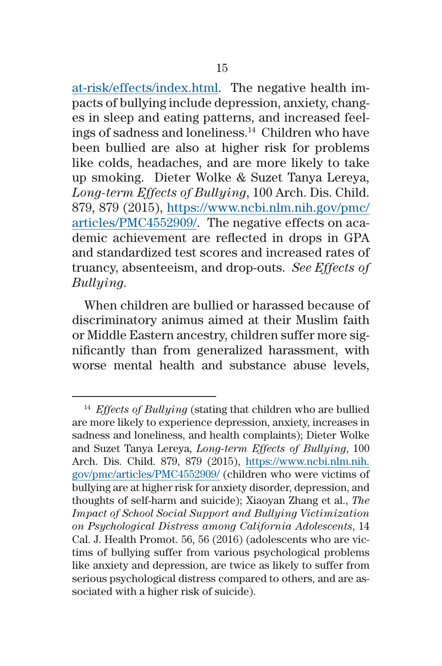[at-risk/effects/index.html](https://www.stopbullying.gov/at-risk/effects/index.html). The negative health impacts of bullying include depression, anxiety, changes in sleep and eating patterns, and increased feelings of sadness and loneliness.14 Children who have been bullied are also at higher risk for problems like colds, headaches, and are more likely to take up smoking. Dieter Wolke & Suzet Tanya Lereya, *Long-term Effects of Bullying*, 100 Arch. Dis. Child. 879, 879 (2015), [https://www.ncbi.nlm.nih.gov/pmc/](https://www.ncbi.nlm.nih.gov/pmc/articles/PMC4552909/) [articles/PMC4552909/.](https://www.ncbi.nlm.nih.gov/pmc/articles/PMC4552909/) The negative effects on academic achievement are reflected in drops in GPA and standardized test scores and increased rates of truancy, absenteeism, and drop-outs. *See Effects of Bullying.*

When children are bullied or harassed because of discriminatory animus aimed at their Muslim faith or Middle Eastern ancestry, children suffer more significantly than from generalized harassment, with worse mental health and substance abuse levels,

<sup>14</sup> *Effects of Bullying* (stating that children who are bullied are more likely to experience depression, anxiety, increases in sadness and loneliness, and health complaints); Dieter Wolke and Suzet Tanya Lereya, *Long-term Effects of Bullying*, 100 Arch. Dis. Child. 879, 879 (2015), [https://www.ncbi.nlm.nih.](https://www.ncbi.nlm.nih.gov/pmc/articles/PMC4552909/) [gov/pmc/articles/PMC4552909/](https://www.ncbi.nlm.nih.gov/pmc/articles/PMC4552909/) (children who were victims of bullying are at higher risk for anxiety disorder, depression, and thoughts of self-harm and suicide); Xiaoyan Zhang et al., *The Impact of School Social Support and Bullying Victimization on Psychological Distress among California Adolescents*, 14 Cal. J. Health Promot. 56, 56 (2016) (adolescents who are victims of bullying suffer from various psychological problems like anxiety and depression, are twice as likely to suffer from serious psychological distress compared to others, and are associated with a higher risk of suicide).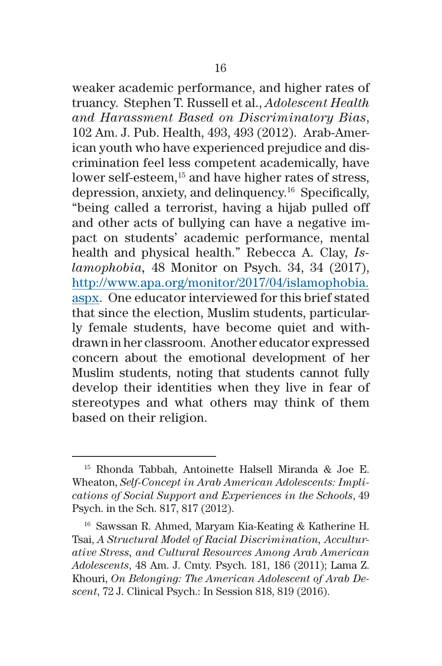weaker academic performance, and higher rates of truancy. Stephen T. Russell et al., *Adolescent Health and Harassment Based on Discriminatory Bias*, 102 Am. J. Pub. Health, 493, 493 (2012). Arab-American youth who have experienced prejudice and discrimination feel less competent academically, have lower self-esteem,<sup>15</sup> and have higher rates of stress, depression, anxiety, and delinquency.16 Specifically, "being called a terrorist, having a hijab pulled off and other acts of bullying can have a negative impact on students' academic performance, mental health and physical health." Rebecca A. Clay, *Islamophobia,* 48 Monitor on Psych. 34, 34 (2017), [http://www.apa.org/monitor/2017/04/islamophobia.](http://www.apa.org/monitor/2017/04/islamophobia.aspx) [aspx](http://www.apa.org/monitor/2017/04/islamophobia.aspx). One educator interviewed for this brief stated that since the election, Muslim students, particularly female students, have become quiet and withdrawn in her classroom. Another educator expressed concern about the emotional development of her Muslim students, noting that students cannot fully develop their identities when they live in fear of stereotypes and what others may think of them based on their religion.

<sup>15</sup> Rhonda Tabbah, Antoinette Halsell Miranda & Joe E. Wheaton, *Self-Concept in Arab American Adolescents: Implications of Social Support and Experiences in the Schools*, 49 Psych. in the Sch. 817, 817 (2012).

<sup>16</sup> Sawssan R. Ahmed, Maryam Kia-Keating & Katherine H. Tsai, *A Structural Model of Racial Discrimination, Acculturative Stress, and Cultural Resources Among Arab American Adolescents*, 48 Am. J. Cmty. Psych. 181, 186 (2011); Lama Z. Khouri, *On Belonging: The American Adolescent of Arab Descent*, 72 J. Clinical Psych.: In Session 818, 819 (2016).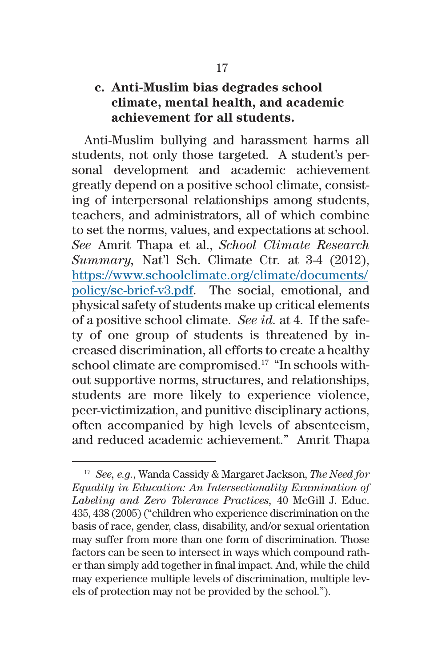## **c. Anti-Muslim bias degrades school climate, mental health, and academic achievement for all students.**

Anti-Muslim bullying and harassment harms all students, not only those targeted. A student's personal development and academic achievement greatly depend on a positive school climate, consisting of interpersonal relationships among students, teachers, and administrators, all of which combine to set the norms, values, and expectations at school. *See* Amrit Thapa et al., *School Climate Research Summary,* Nat'l Sch. Climate Ctr. at 3-4 (2012), [https://www.schoolclimate.org/climate/documents/](https://www.schoolclimate.org/climate/documents/policy/sc-brief-v3.pdf) [policy/sc-brief-v3.pdf.](https://www.schoolclimate.org/climate/documents/policy/sc-brief-v3.pdf) The social, emotional, and physical safety of students make up critical elements of a positive school climate. *See id.* at 4. If the safety of one group of students is threatened by increased discrimination, all efforts to create a healthy school climate are compromised.<sup>17</sup> "In schools without supportive norms, structures, and relationships, students are more likely to experience violence, peer-victimization, and punitive disciplinary actions, often accompanied by high levels of absenteeism, and reduced academic achievement." Amrit Thapa

<sup>17</sup> *See, e.g.*, Wanda Cassidy & Margaret Jackson, *The Need for Equality in Education: An Intersectionality Examination of Labeling and Zero Tolerance Practices,* 40 McGill J. Educ. 435, 438 (2005) ("children who experience discrimination on the basis of race, gender, class, disability, and/or sexual orientation may suffer from more than one form of discrimination. Those factors can be seen to intersect in ways which compound rather than simply add together in final impact. And, while the child may experience multiple levels of discrimination, multiple levels of protection may not be provided by the school.").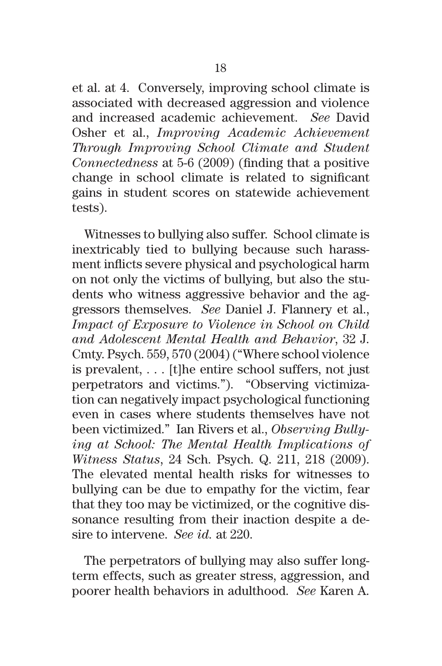et al. at 4. Conversely, improving school climate is associated with decreased aggression and violence and increased academic achievement. *See* David Osher et al., *Improving Academic Achievement Through Improving School Climate and Student Connectedness* at 5-6 (2009) (finding that a positive change in school climate is related to significant gains in student scores on statewide achievement tests).

Witnesses to bullying also suffer. School climate is inextricably tied to bullying because such harassment inflicts severe physical and psychological harm on not only the victims of bullying, but also the students who witness aggressive behavior and the aggressors themselves. *See* Daniel J. Flannery et al., *Impact of Exposure to Violence in School on Child and Adolescent Mental Health and Behavior*, 32 J. Cmty. Psych. 559, 570 (2004) ("Where school violence is prevalent, . . . [t]he entire school suffers, not just perpetrators and victims."). "Observing victimization can negatively impact psychological functioning even in cases where students themselves have not been victimized." Ian Rivers et al., *Observing Bullying at School: The Mental Health Implications of Witness Status*, 24 Sch. Psych. Q. 211, 218 (2009). The elevated mental health risks for witnesses to bullying can be due to empathy for the victim, fear that they too may be victimized, or the cognitive dissonance resulting from their inaction despite a desire to intervene. *See id.* at 220.

The perpetrators of bullying may also suffer longterm effects, such as greater stress, aggression, and poorer health behaviors in adulthood. *See* Karen A.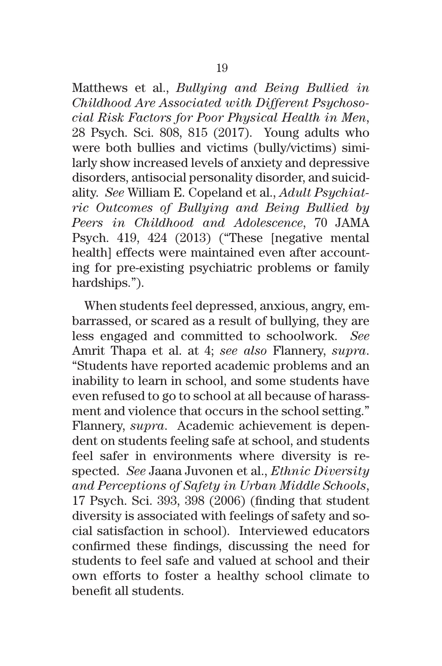Matthews et al., *Bullying and Being Bullied in Childhood Are Associated with Different Psychosocial Risk Factors for Poor Physical Health in Men*, 28 Psych. Sci. 808, 815 (2017). Young adults who were both bullies and victims (bully/victims) similarly show increased levels of anxiety and depressive disorders, antisocial personality disorder, and suicidality. *See* William E. Copeland et al., *Adult Psychiatric Outcomes of Bullying and Being Bullied by Peers in Childhood and Adolescence*, 70 JAMA Psych. 419, 424 (2013) ("These [negative mental health] effects were maintained even after accounting for pre-existing psychiatric problems or family hardships.").

When students feel depressed, anxious, angry, embarrassed, or scared as a result of bullying, they are less engaged and committed to schoolwork. *See* Amrit Thapa et al. at 4; *see also* Flannery, *supra*. "Students have reported academic problems and an inability to learn in school, and some students have even refused to go to school at all because of harassment and violence that occurs in the school setting." Flannery, *supra*. Academic achievement is dependent on students feeling safe at school, and students feel safer in environments where diversity is respected. *See* Jaana Juvonen et al., *Ethnic Diversity and Perceptions of Safety in Urban Middle Schools*, 17 Psych. Sci. 393, 398 (2006) (finding that student diversity is associated with feelings of safety and social satisfaction in school). Interviewed educators confirmed these findings, discussing the need for students to feel safe and valued at school and their own efforts to foster a healthy school climate to benefit all students.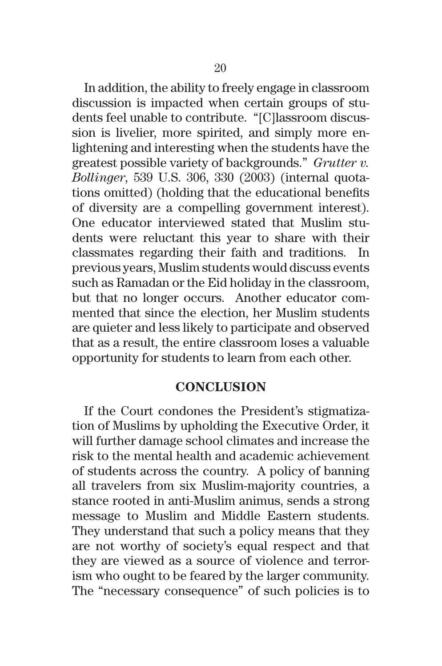In addition, the ability to freely engage in classroom discussion is impacted when certain groups of students feel unable to contribute. "[C]lassroom discussion is livelier, more spirited, and simply more enlightening and interesting when the students have the greatest possible variety of backgrounds." *Grutter v. Bollinger*, 539 U.S. 306, 330 (2003) (internal quotations omitted) (holding that the educational benefits of diversity are a compelling government interest). One educator interviewed stated that Muslim students were reluctant this year to share with their classmates regarding their faith and traditions. In previous years, Muslim students would discuss events such as Ramadan or the Eid holiday in the classroom, but that no longer occurs. Another educator commented that since the election, her Muslim students are quieter and less likely to participate and observed that as a result, the entire classroom loses a valuable opportunity for students to learn from each other.

#### **CONCLUSION**

If the Court condones the President's stigmatization of Muslims by upholding the Executive Order, it will further damage school climates and increase the risk to the mental health and academic achievement of students across the country. A policy of banning all travelers from six Muslim-majority countries, a stance rooted in anti-Muslim animus, sends a strong message to Muslim and Middle Eastern students. They understand that such a policy means that they are not worthy of society's equal respect and that they are viewed as a source of violence and terrorism who ought to be feared by the larger community. The "necessary consequence" of such policies is to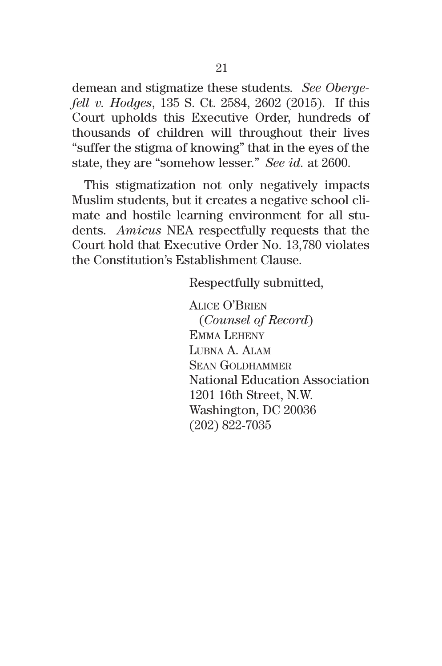demean and stigmatize these students*. See Obergefell v. Hodges*, 135 S. Ct. 2584, 2602 (2015). If this Court upholds this Executive Order, hundreds of thousands of children will throughout their lives "suffer the stigma of knowing" that in the eyes of the state, they are "somehow lesser." *See id.* at 2600.

This stigmatization not only negatively impacts Muslim students, but it creates a negative school climate and hostile learning environment for all students. *Amicus* NEA respectfully requests that the Court hold that Executive Order No. 13,780 violates the Constitution's Establishment Clause.

Respectfully submitted,

Alice O'Brien (*Counsel of Record*) Emma Leheny Lubna A. Alam Sean Goldhammer National Education Association 1201 16th Street, N.W. Washington, DC 20036 (202) 822-7035